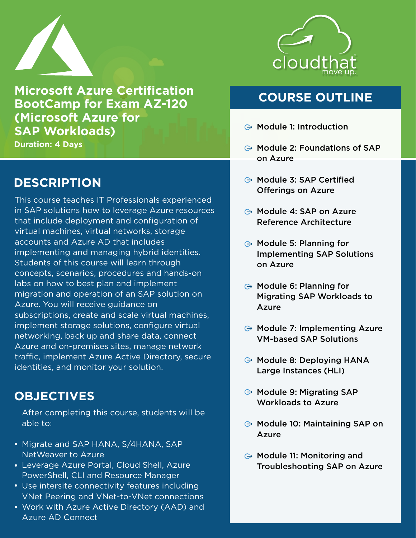

**Microsoft Azure Certification BootCamp for Exam AZ-120 (Microsoft Azure for SAP Workloads)**

**Duration: 4 Days**

## **DESCRIPTION**

This course teaches IT Professionals experienced in SAP solutions how to leverage Azure resources that include deployment and configuration of virtual machines, virtual networks, storage accounts and Azure AD that includes implementing and managing hybrid identities. Students of this course will learn through concepts, scenarios, procedures and hands-on labs on how to best plan and implement migration and operation of an SAP solution on Azure. You will receive guidance on subscriptions, create and scale virtual machines, implement storage solutions, configure virtual networking, back up and share data, connect Azure and on-premises sites, manage network traffic, implement Azure Active Directory, secure identities, and monitor your solution.

### **OBJECTIVES**

After completing this course, students will be able to:

- Migrate and SAP HANA, S/4HANA, SAP NetWeaver to Azure
- Leverage Azure Portal, Cloud Shell, Azure PowerShell, CLI and Resource Manager
- Use intersite connectivity features including VNet Peering and VNet-to-VNet connections
- Work with Azure Active Directory (AAD) and Azure AD Connect



# **COURSE OUTLINE**

- $\ominus$  Module 1: Introduction
- $\ominus$  Module 2: Foundations of SAP on Azure
- **⊕ Module 3: SAP Certified** Offerings on Azure
- Module 4: SAP on Azure Reference Architecture
- $\ominus$  Module 5: Planning for Implementing SAP Solutions on Azure
- $\ominus$  Module 6: Planning for Migrating SAP Workloads to Azure
- $\ominus$  Module 7: Implementing Azure VM-based SAP Solutions
- $\ominus$  Module 8: Deploying HANA Large Instances (HLI)
- $\ominus$  Module 9: Migrating SAP Workloads to Azure
- $\ominus$  Module 10: Maintaining SAP on Azure
- $\ominus$  Module 11: Monitoring and Troubleshooting SAP on Azure